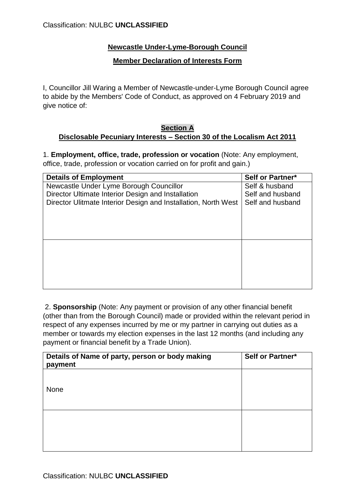# **Newcastle Under-Lyme-Borough Council**

#### **Member Declaration of Interests Form**

I, Councillor Jill Waring a Member of Newcastle-under-Lyme Borough Council agree to abide by the Members' Code of Conduct, as approved on 4 February 2019 and give notice of:

#### **Section A Disclosable Pecuniary Interests – Section 30 of the Localism Act 2011**

1. **Employment, office, trade, profession or vocation** (Note: Any employment, office, trade, profession or vocation carried on for profit and gain.)

| <b>Details of Employment</b>                                   | Self or Partner* |
|----------------------------------------------------------------|------------------|
| Newcastle Under Lyme Borough Councillor                        | Self & husband   |
| Director Ultimate Interior Design and Installation             | Self and husband |
| Director Ulitmate Interior Design and Installation, North West | Self and husband |
|                                                                |                  |
|                                                                |                  |
|                                                                |                  |
|                                                                |                  |
|                                                                |                  |
|                                                                |                  |
|                                                                |                  |
|                                                                |                  |
|                                                                |                  |
|                                                                |                  |

2. **Sponsorship** (Note: Any payment or provision of any other financial benefit (other than from the Borough Council) made or provided within the relevant period in respect of any expenses incurred by me or my partner in carrying out duties as a member or towards my election expenses in the last 12 months (and including any payment or financial benefit by a Trade Union).

| Details of Name of party, person or body making<br>payment | <b>Self or Partner*</b> |
|------------------------------------------------------------|-------------------------|
| None                                                       |                         |
|                                                            |                         |
|                                                            |                         |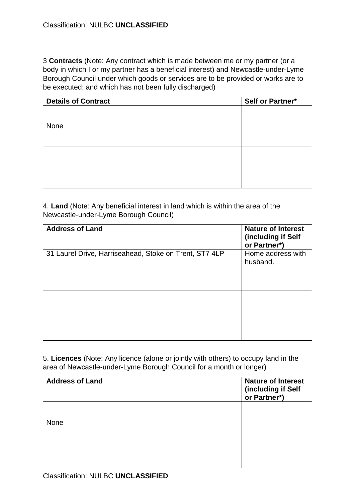3 **Contracts** (Note: Any contract which is made between me or my partner (or a body in which I or my partner has a beneficial interest) and Newcastle-under-Lyme Borough Council under which goods or services are to be provided or works are to be executed; and which has not been fully discharged)

| <b>Details of Contract</b> | Self or Partner* |
|----------------------------|------------------|
|                            |                  |
|                            |                  |
| None                       |                  |
|                            |                  |
|                            |                  |
|                            |                  |
|                            |                  |
|                            |                  |
|                            |                  |
|                            |                  |

4. **Land** (Note: Any beneficial interest in land which is within the area of the Newcastle-under-Lyme Borough Council)

| <b>Address of Land</b>                                 | <b>Nature of Interest</b><br>(including if Self<br>or Partner*) |
|--------------------------------------------------------|-----------------------------------------------------------------|
| 31 Laurel Drive, Harriseahead, Stoke on Trent, ST7 4LP | Home address with<br>husband.                                   |
|                                                        |                                                                 |

5. **Licences** (Note: Any licence (alone or jointly with others) to occupy land in the area of Newcastle-under-Lyme Borough Council for a month or longer)

| <b>Address of Land</b> | <b>Nature of Interest</b><br>(including if Self<br>or Partner*) |
|------------------------|-----------------------------------------------------------------|
| None                   |                                                                 |
|                        |                                                                 |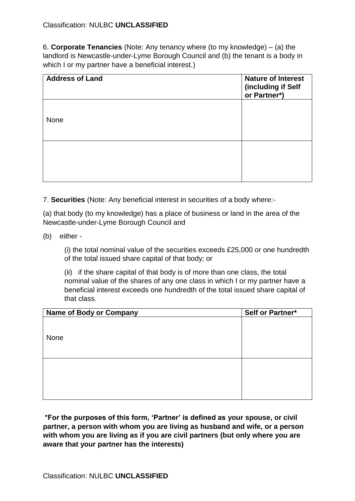6. **Corporate Tenancies** (Note: Any tenancy where (to my knowledge) – (a) the landlord is Newcastle-under-Lyme Borough Council and (b) the tenant is a body in which I or my partner have a beneficial interest.)

| <b>Address of Land</b> | <b>Nature of Interest</b><br>(including if Self<br>or Partner*) |
|------------------------|-----------------------------------------------------------------|
| None                   |                                                                 |
|                        |                                                                 |

7. **Securities** (Note: Any beneficial interest in securities of a body where:-

(a) that body (to my knowledge) has a place of business or land in the area of the Newcastle-under-Lyme Borough Council and

(b) either -

(i) the total nominal value of the securities exceeds £25,000 or one hundredth of the total issued share capital of that body; or

(ii) if the share capital of that body is of more than one class, the total nominal value of the shares of any one class in which I or my partner have a beneficial interest exceeds one hundredth of the total issued share capital of that class.

| <b>Name of Body or Company</b> | Self or Partner* |
|--------------------------------|------------------|
|                                |                  |
|                                |                  |
| None                           |                  |
|                                |                  |
|                                |                  |
|                                |                  |
|                                |                  |
|                                |                  |
|                                |                  |
|                                |                  |

**\*For the purposes of this form, 'Partner' is defined as your spouse, or civil partner, a person with whom you are living as husband and wife, or a person with whom you are living as if you are civil partners (but only where you are aware that your partner has the interests)**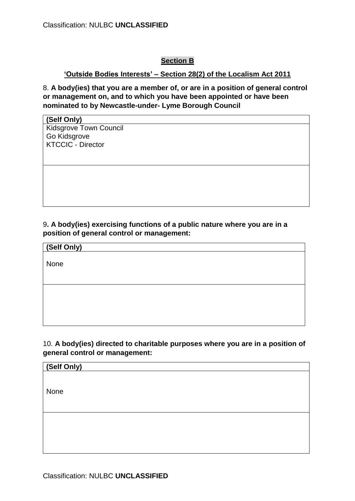# **Section B**

## **'Outside Bodies Interests' – Section 28(2) of the Localism Act 2011**

8. **A body(ies) that you are a member of, or are in a position of general control or management on, and to which you have been appointed or have been nominated to by Newcastle-under- Lyme Borough Council**

#### **(Self Only)**

Kidsgrove Town Council Go Kidsgrove KTCCIC - Director

### 9**. A body(ies) exercising functions of a public nature where you are in a position of general control or management:**

**(Self Only)**

None

### 10. **A body(ies) directed to charitable purposes where you are in a position of general control or management:**

| (Self Only) |  |  |
|-------------|--|--|
|             |  |  |
|             |  |  |
| None        |  |  |
|             |  |  |
|             |  |  |
|             |  |  |
|             |  |  |
|             |  |  |
|             |  |  |
|             |  |  |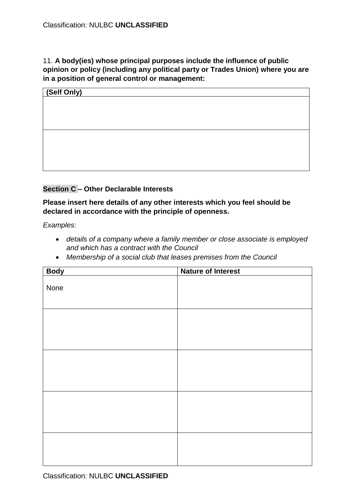## 11. **A body(ies) whose principal purposes include the influence of public opinion or policy (including any political party or Trades Union) where you are in a position of general control or management:**

| (Self Only) |  |  |
|-------------|--|--|
|             |  |  |
|             |  |  |
|             |  |  |
|             |  |  |
|             |  |  |
|             |  |  |
|             |  |  |
|             |  |  |

## **Section C – Other Declarable Interests**

**Please insert here details of any other interests which you feel should be declared in accordance with the principle of openness.**

*Examples:*

- *details of a company where a family member or close associate is employed and which has a contract with the Council*
- *Membership of a social club that leases premises from the Council*

| <b>Body</b> | <b>Nature of Interest</b> |
|-------------|---------------------------|
| None        |                           |
|             |                           |
|             |                           |
|             |                           |
|             |                           |
|             |                           |